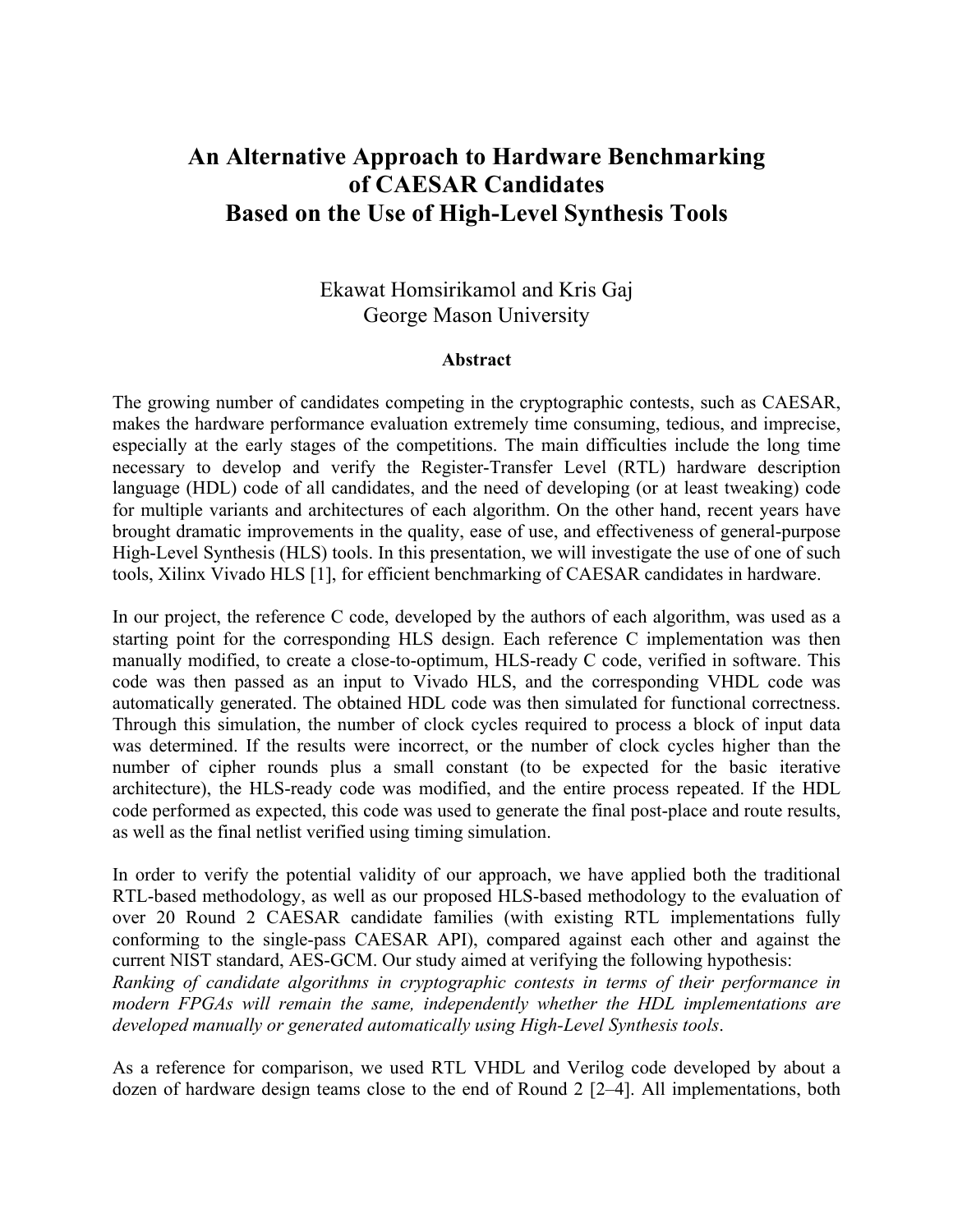## **An Alternative Approach to Hardware Benchmarking of CAESAR Candidates Based on the Use of High-Level Synthesis Tools**

## Ekawat Homsirikamol and Kris Gaj George Mason University

## **Abstract**

The growing number of candidates competing in the cryptographic contests, such as CAESAR, makes the hardware performance evaluation extremely time consuming, tedious, and imprecise, especially at the early stages of the competitions. The main difficulties include the long time necessary to develop and verify the Register-Transfer Level (RTL) hardware description language (HDL) code of all candidates, and the need of developing (or at least tweaking) code for multiple variants and architectures of each algorithm. On the other hand, recent years have brought dramatic improvements in the quality, ease of use, and effectiveness of general-purpose High-Level Synthesis (HLS) tools. In this presentation, we will investigate the use of one of such tools, Xilinx Vivado HLS [1], for efficient benchmarking of CAESAR candidates in hardware.

In our project, the reference C code, developed by the authors of each algorithm, was used as a starting point for the corresponding HLS design. Each reference C implementation was then manually modified, to create a close-to-optimum, HLS-ready C code, verified in software. This code was then passed as an input to Vivado HLS, and the corresponding VHDL code was automatically generated. The obtained HDL code was then simulated for functional correctness. Through this simulation, the number of clock cycles required to process a block of input data was determined. If the results were incorrect, or the number of clock cycles higher than the number of cipher rounds plus a small constant (to be expected for the basic iterative architecture), the HLS-ready code was modified, and the entire process repeated. If the HDL code performed as expected, this code was used to generate the final post-place and route results, as well as the final netlist verified using timing simulation.

In order to verify the potential validity of our approach, we have applied both the traditional RTL-based methodology, as well as our proposed HLS-based methodology to the evaluation of over 20 Round 2 CAESAR candidate families (with existing RTL implementations fully conforming to the single-pass CAESAR API), compared against each other and against the current NIST standard, AES-GCM. Our study aimed at verifying the following hypothesis:

*Ranking of candidate algorithms in cryptographic contests in terms of their performance in modern FPGAs will remain the same, independently whether the HDL implementations are developed manually or generated automatically using High-Level Synthesis tools*.

As a reference for comparison, we used RTL VHDL and Verilog code developed by about a dozen of hardware design teams close to the end of Round 2 [2–4]. All implementations, both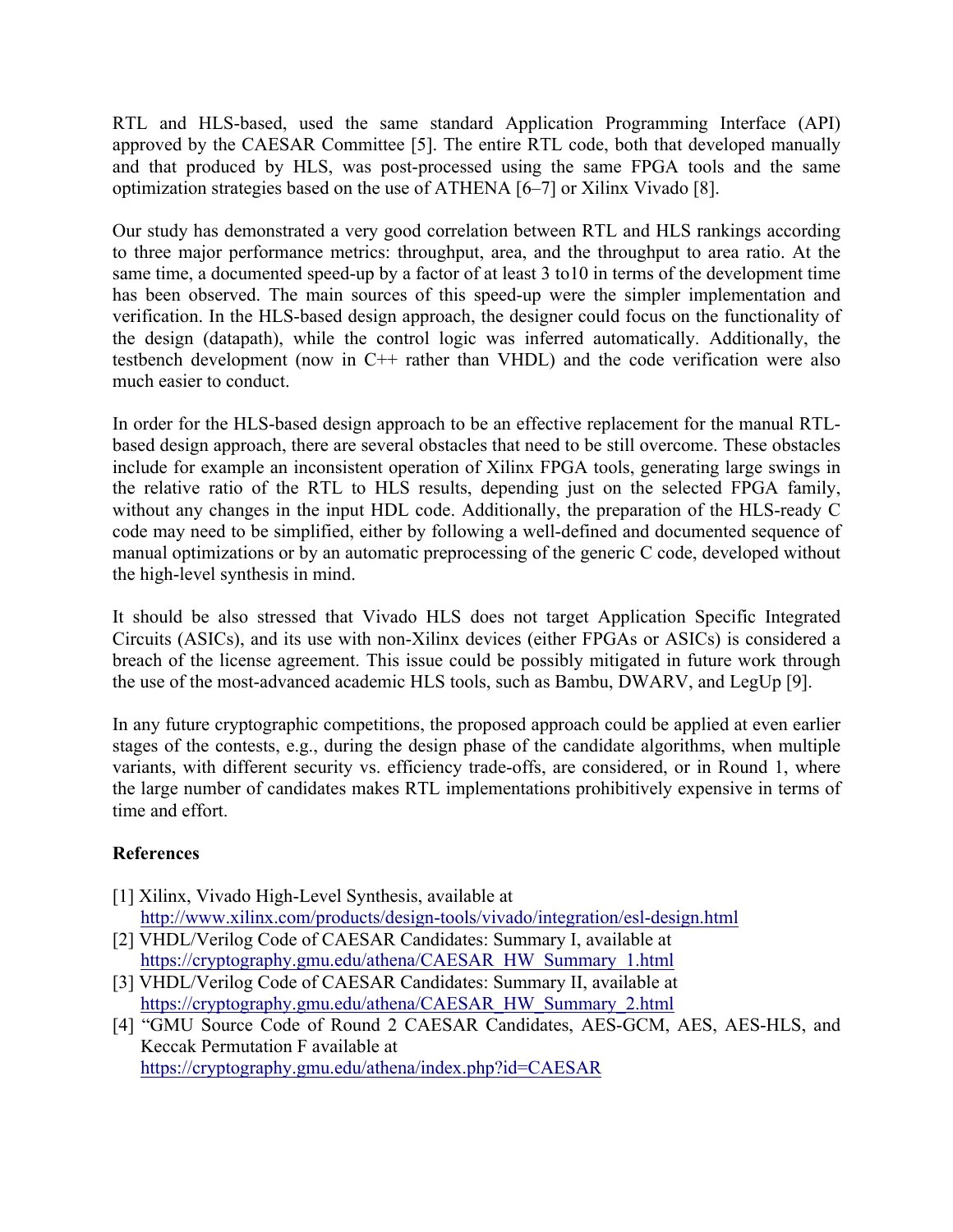RTL and HLS-based, used the same standard Application Programming Interface (API) approved by the CAESAR Committee [5]. The entire RTL code, both that developed manually and that produced by HLS, was post-processed using the same FPGA tools and the same optimization strategies based on the use of ATHENA [6–7] or Xilinx Vivado [8].

Our study has demonstrated a very good correlation between RTL and HLS rankings according to three major performance metrics: throughput, area, and the throughput to area ratio. At the same time, a documented speed-up by a factor of at least 3 to10 in terms of the development time has been observed. The main sources of this speed-up were the simpler implementation and verification. In the HLS-based design approach, the designer could focus on the functionality of the design (datapath), while the control logic was inferred automatically. Additionally, the testbench development (now in C++ rather than VHDL) and the code verification were also much easier to conduct.

In order for the HLS-based design approach to be an effective replacement for the manual RTLbased design approach, there are several obstacles that need to be still overcome. These obstacles include for example an inconsistent operation of Xilinx FPGA tools, generating large swings in the relative ratio of the RTL to HLS results, depending just on the selected FPGA family, without any changes in the input HDL code. Additionally, the preparation of the HLS-ready C code may need to be simplified, either by following a well-defined and documented sequence of manual optimizations or by an automatic preprocessing of the generic C code, developed without the high-level synthesis in mind.

It should be also stressed that Vivado HLS does not target Application Specific Integrated Circuits (ASICs), and its use with non-Xilinx devices (either FPGAs or ASICs) is considered a breach of the license agreement. This issue could be possibly mitigated in future work through the use of the most-advanced academic HLS tools, such as Bambu, DWARV, and LegUp [9].

In any future cryptographic competitions, the proposed approach could be applied at even earlier stages of the contests, e.g., during the design phase of the candidate algorithms, when multiple variants, with different security vs. efficiency trade-offs, are considered, or in Round 1, where the large number of candidates makes RTL implementations prohibitively expensive in terms of time and effort.

## **References**

- [1] Xilinx, Vivado High-Level Synthesis, available at http://www.xilinx.com/products/design-tools/vivado/integration/esl-design.html
- [2] VHDL/Verilog Code of CAESAR Candidates: Summary I, available at https://cryptography.gmu.edu/athena/CAESAR\_HW\_Summary\_1.html
- [3] VHDL/Verilog Code of CAESAR Candidates: Summary II, available at https://cryptography.gmu.edu/athena/CAESAR\_HW\_Summary\_2.html
- [4] "GMU Source Code of Round 2 CAESAR Candidates, AES-GCM, AES, AES-HLS, and Keccak Permutation F available at https://cryptography.gmu.edu/athena/index.php?id=CAESAR